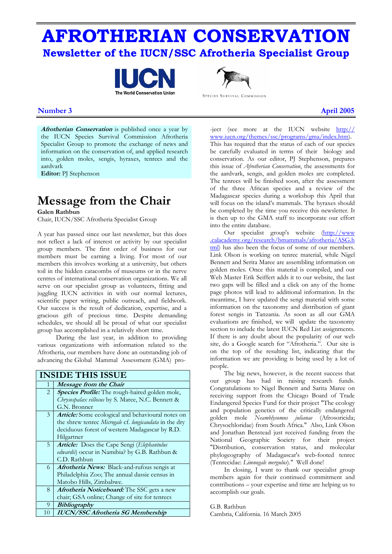# **AFROTHERIAN CONSERVATION Newsletter of the IUCN/SSC Afrotheria Specialist Group**





SPECIES SURVIVAL COMMISSION

### **Number 3** April 2005

**Afrotherian Conservation** is published once a year by the IUCN Species Survival Commission Afrotheria Specialist Group to promote the exchange of news and information on the conservation of, and applied research into, golden moles, sengis, hyraxes, tenrecs and the aardvark

**Editor:** PJ Stephenson

# **Message from the Chair**

**Galen Rathbun** 

Chair, IUCN/SSC Afrotheria Specialist Group

A year has passed since our last newsletter, but this does not reflect a lack of interest or activity by our specialist group members. The first order of business for our members must be earning a living. For most of our members this involves working at a university, but others toil in the hidden catacombs of museums or in the nerve centres of international conservation organizations. We all serve on our specialist group as volunteers, fitting and juggling IUCN activities in with our normal lectures, scientific paper writing, public outreach, and fieldwork. Our success is the result of dedication, expertise, and a gracious gift of precious time. Despite demanding schedules, we should all be proud of what our specialist group has accomplished in a relatively short time.

 During the last year, in addition to providing various organizations with information related to the Afrotheria, our members have done an outstanding job of advancing the Global Mammal Assessment (GMA) pro-

|                | <b>INSIDE THIS ISSUE</b>                               |  |  |  |  |
|----------------|--------------------------------------------------------|--|--|--|--|
| 1              | Message from the Chair                                 |  |  |  |  |
| $\overline{2}$ | <b>Species Profile:</b> The rough-haired golden mole,  |  |  |  |  |
|                | Chrysospalax villosus by S. Maree, N.C. Bennett &      |  |  |  |  |
|                | G.N. Bronner                                           |  |  |  |  |
| 3              | Article: Some ecological and behavioural notes on      |  |  |  |  |
|                | the shrew tenrec Microgale cf. longicaudata in the dry |  |  |  |  |
|                | deciduous forest of western Madagascar by R.D.         |  |  |  |  |
|                | Hilgartner                                             |  |  |  |  |
| 5              | <b>Article:</b> Does the Cape Sengi (Elephantulus      |  |  |  |  |
|                | edwardii) occur in Namibia? by G.B. Rathbun &          |  |  |  |  |
|                | C.D. Rathbun                                           |  |  |  |  |
| 6              | <b>Afrotheria News:</b> Black-and-rufous sengis at     |  |  |  |  |
|                | Philadelphia Zoo; The annual dassie census in          |  |  |  |  |
|                | Matobo Hills, Zimbabwe.                                |  |  |  |  |
| 8              | Afrotheria Noticeboard: The SSC gets a new             |  |  |  |  |
|                | chair; GSA online; Change of site for tenrecs          |  |  |  |  |
| 9              | <b>Bibliography</b>                                    |  |  |  |  |
| 10             | <b>IUCN/SSC Afrotheria SG Membership</b>               |  |  |  |  |

-ject (see more at the IUCN website http:// www.iucn.org/themes/ssc/programs/gma/index.htm). This has required that the status of each of our species be carefully evaluated in terms of their biology and conservation. As our editor, PJ Stephenson, prepares this issue of *Afrotherian Conservation*, the assessments for the aardvark, sengis, and golden moles are completed. The tenrecs will be finished soon, after the assessment of the three African species and a review of the Madagascar species during a workshop this April that will focus on the island's mammals. The hyraxes should be completed by the time you receive this newsletter. It is then up to the GMA staff to incorporate our effort into the entire database.

 Our specialist group's website [\(http://www](http://www.calacademy.org/research/bmammals/afrotheria/ASG.html)  [.calacademy.org/research/bmammals/afrotheria/ASG.h](http://www.calacademy.org/research/bmammals/afrotheria/ASG.html)  [tml\)](http://www.calacademy.org/research/bmammals/afrotheria/ASG.html) has also been the focus of some of our members. Link Olson is working on tenrec material, while Nigel Bennett and Serita Maree are assembling information on golden moles. Once this material is compiled, and our Web Master Erik Seiffert adds it to our website, the last two gaps will be filled and a click on any of the home page photos will lead to additional information. In the meantime, I have updated the sengi material with some information on the taxonomy and distribution of giant forest sengis in Tanzania. As soon as all our GMA evaluations are finished, we will update the taxonomy section to include the latest IUCN Red List assignments. If there is any doubt about the popularity of our web site, do a Google search for "Afrotheria.". Our site is on the top of the resulting list, indicating that the information we are providing is being used by a lot of people.

 The big news, however, is the recent success that our group has had in raising research funds. Congratulations to Nigel Bennett and Sarita Maree on receiving support from the Chicago Board of Trade Endangered Species Fund for their project "The ecology and population genetics of the critically endangered golden mole *Neamblysomus julianae* (Afrosoricida; Chrysochloridae) from South Africa." Also, Link Olson and Jonathan Benstead just received funding from the National Geographic Society for their project "Distribution, conservation status, and molecular phylogeography of Madagascar's web-footed tenrec (Tenrecidae: *Limnogale mergulus*)." Well done!

 In closing, I want to thank our specialist group members again for their continued commitment and contributions – your expertise and time are helping us to accomplish our goals.

G.B. Rathbun Cambria, California. 16 March 2005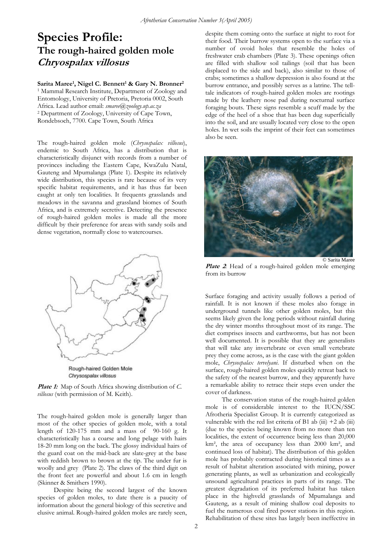## **Species Profile: The rough-haired golden mole Chryospalax villosus**

### Sarita Maree<sup>1</sup>, Nigel C. Bennett<sup>1</sup> & Gary N. Bronner<sup>2</sup>

1 Mammal Research Institute, Department of Zoology and Entomology, University of Pretoria, Pretoria 0002, South Africa. Lead author email: *smaree@zoology.up.ac.za* 2 Department of Zoology, University of Cape Town, Rondebsoch, 7700. Cape Town, South Africa

The rough-haired golden mole (*Chrysospalax villosus*), endemic to South Africa, has a distribution that is characteristically disjunct with records from a number of provinces including the Eastern Cape, KwaZulu Natal, Gauteng and Mpumalanga (Plate 1). Despite its relatively wide distribution, this species is rare because of its very specific habitat requirements, and it has thus far been caught at only ten localities. It frequents grasslands and meadows in the savanna and grassland biomes of South Africa, and is extremely secretive. Detecting the presence of rough-haired golden moles is made all the more difficult by their preference for areas with sandy soils and dense vegetation, normally close to watercourses.



Rough-haired Golden Mole Chrysospalax villosus

**Plate 1:** Map of South Africa showing distribution of *C. villosus* (with permission of M. Keith).

The rough-haired golden mole is generally larger than most of the other species of golden mole, with a total length of 120-175 mm and a mass of 90-160 g. It characteristically has a coarse and long pelage with hairs 18-20 mm long on the back. The glossy individual hairs of the guard coat on the mid-back are slate-grey at the base with reddish brown to brown at the tip. The under fur is woolly and grey (Plate 2). The claws of the third digit on the front feet are powerful and about 1.6 cm in length (Skinner & Smithers 1990).

 Despite being the second largest of the known species of golden moles, to date there is a paucity of information about the general biology of this secretive and elusive animal. Rough-haired golden moles are rarely seen, despite them coming onto the surface at night to root for their food. Their burrow systems open to the surface via a number of ovoid holes that resemble the holes of freshwater crab chambers (Plate 3). These openings often are filled with shallow soil tailings (soil that has been displaced to the side and back), also similar to those of crabs; sometimes a shallow depression is also found at the burrow entrance, and possibly serves as a latrine. The telltale indicators of rough-haired golden moles are rootings made by the leathery nose pad during nocturnal surface foraging bouts. These signs resemble a scuff made by the edge of the heel of a shoe that has been dug superficially into the soil, and are usually located very close to the open holes. In wet soils the imprint of their feet can sometimes also be seen.



Plate 2: Head of a rough-haired golden mole emerging from its burrow

Surface foraging and activity usually follows a period of rainfall. It is not known if these moles also forage in underground tunnels like other golden moles, but this seems likely given the long periods without rainfall during the dry winter months throughout most of its range. The diet comprises insects and earthworms, but has not been well documented. It is possible that they are generalists that will take any invertebrate or even small vertebrate prey they come across, as is the case with the giant golden mole, *Chrysospalax tervelyani*. If disturbed when on the surface, rough-haired golden moles quickly retreat back to the safety of the nearest burrow, and they apparently have a remarkable ability to retrace their steps even under the cover of darkness.

 The conservation status of the rough-haired golden mole is of considerable interest to the IUCN/SSC Afrotheria Specialist Group. It is currently categorized as vulnerable with the red list criteria of B1 ab (iii)  $+2$  ab (iii) (due to the species being known from no more than ten localities, the extent of occurrence being less than 20,000 km², the area of occupancy less than 2000 km², and continued loss of habitat). The distribution of this golden mole has probably contracted during historical times as a result of habitat alteration associated with mining, power generating plants, as well as urbanization and ecologically unsound agricultural practices in parts of its range. The greatest degradation of its preferred habitat has taken place in the highveld grasslands of Mpumalanga and Gauteng, as a result of mining shallow coal deposits to fuel the numerous coal fired power stations in this region. Rehabilitation of these sites has largely been ineffective in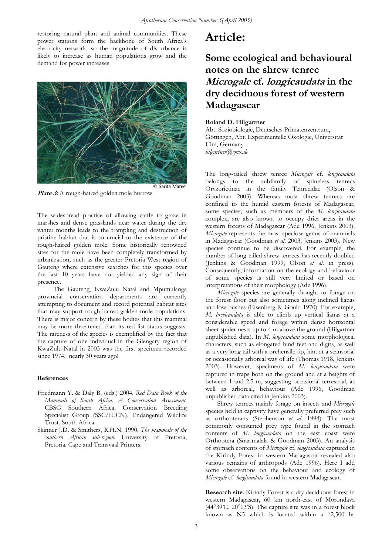restoring natural plant and animal communities. These power stations form the backbone of South Africa's electricity network, so the magnitude of disturbance is likely to increase as human populations grow and the demand for power increases.



Plate 3: A rough-haired golden mole burrow

The widespread practice of allowing cattle to graze in marshes and dense grasslands near water during the dry winter months leads to the trampling and destruction of pristine habitat that is so crucial to the existence of the rough-haired golden mole. Some historically renowned sites for the mole have been completely transformed by urbanization, such as the greater Pretoria West region of Gauteng where extensive searches for this species over the last 10 years have not yielded any sign of their presence.

 The Gauteng, KwaZulu Natal and Mpumulanga provincial conservation departments are currently attempting to document and record potential habitat sites that may support rough-haired golden mole populations. There is major concern by these bodies that this mammal may be more threatened than its red list status suggests. The rareness of the species is exemplified by the fact that the capture of one individual in the Glengary region of KwaZulu-Natal in 2003 was the first specimen recorded since 1974, nearly 30 years ago!

#### **References**

- Friedmann Y. & Daly B. (eds.) 2004*. Red Data Book of the Mammals of South Africa: A Conservation Assessment.*  CBSG Southern Africa, Conservation Breeding Specialist Group (SSC/IUCN), Endangered Wildlife Trust. South Africa.
- Skinner J.D. & Smithers, R.H.N. 1990. *The mammals of the southern African sub-region.* University of Pretoria, Pretoria. Cape and Transvaal Printers.

## **Article:**

## **Some ecological and behavioural notes on the shrew tenrec Microgale cf. longicaudata in the dry deciduous forest of western Madagascar**

### **Roland D. Hilgartner**

Abt. Soziobiologie, Deutsches Primatenzentrum, Göttingen, Abt. Experimentelle Ökologie, Universität Ulm, Germany *hilgartner@gmx.de* 

The long-tailed shrew tenrec *Microgale* cf. *longicaudata* belongs to the subfamily of spineless tenrecs Oryzorictinae in the family Tenrecidae (Olson & Goodman 2003). Whereas most shrew tenrecs are confined to the humid eastern forests of Madagascar, some species, such as members of the *M. longicaudata* complex, are also known to occupy drier areas in the western forests of Madagascar (Ade 1996, Jenkins 2003). *Microgale* represents the most speciose genus of mammals in Madagascar (Goodman *et al.* 2003, Jenkins 2003). New species continue to be discovered. For example, the number of long-tailed shrew tenrecs has recently doubled (Jenkins & Goodman 1999, Olson *et al.* in press). Consequently, information on the ecology and behaviour of some species is still very limited or based on interpretations of their morphology (Ade 1996).

*Microgale* species are generally thought to forage on the forest floor but also sometimes along inclined lianas and low bushes (Eisenberg & Gould 1970). For example, *M. brevicaudata* is able to climb up vertical lianas at a considerable speed and forage within dense horizontal sheet spider nests up to 4 m above the ground (Hilgartner unpublished data). In *M. longicaudata* some morphological characters, such as elongated hind feet and digits, as well as a very long tail with a prehensile tip, hint at a scansorial or occasionally arboreal way of life (Thomas 1918, Jenkins 2003). However, specimens of *M. longicaudata* were captured in traps both on the ground and at a heights of between 1 and 2.5 m, suggesting occasional terrestrial, as well as arboreal, behaviour (Ade 1996, Goodman unpublished data cited in Jenkins 2003).

Shrew tenrecs mainly forage on insects and *Microgale* species held in captivity have generally preferred prey such as orthopterans (Stephenson *et al.* 1994). The most commonly consumed prey type found in the stomach contents of *M. longicaudata* on the east coast were Orthoptera (Soarimalala & Goodman 2003). An analysis of stomach contents of *Microgale* cf. *longicaudata* captured in the Kirindy Forest in western Madagascar revealed also various remains of arthropods (Ade 1996). Here I add some observations on the behaviour and ecology of *Microgale* cf. *longicaudata* found in western Madagascar.

**Research site**: Kirindy Forest is a dry deciduous forest in western Madagascar, 60 km north-east of Morondava (44°39'E, 20°03'S). The capture site was in a forest block known as N5 which is located within a 12,500 ha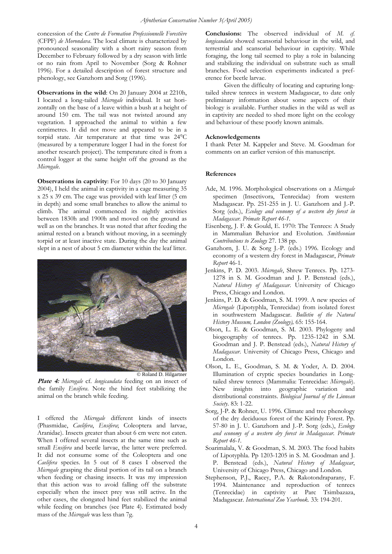concession of the *Centre de Formation Professionnelle Forestière*  (CFPF) *de Morondava*. The local climate is characterized by pronounced seasonality with a short rainy season from December to February followed by a dry season with little or no rain from April to November (Sorg & Rohner 1996). For a detailed description of forest structure and phenology, see Ganzhorn and Sorg (1996).

**Observations in the wild**: On 20 January 2004 at 2210h, I located a long-tailed *Microgale* individual. It sat horizontally on the base of a leave within a bush at a height of around 150 cm. The tail was not twisted around any vegetation. I approached the animal to within a few centimetres. It did not move and appeared to be in a torpid state. Air temperature at that time was 24°C (measured by a temperature logger I had in the forest for another research project). The temperature cited is from a control logger at the same height off the ground as the *Microgale*.

**Observations in captivity**: For 10 days (20 to 30 January 2004), I held the animal in captivity in a cage measuring 35 x 25 x 39 cm. The cage was provided with leaf litter (5 cm in depth) and some small branches to allow the animal to climb. The animal commenced its nightly activities between 1830h and 1900h and moved on the ground as well as on the branches. It was noted that after feeding the animal rested on a branch without moving, in a seemingly torpid or at least inactive state. During the day the animal slept in a nest of about 5 cm diameter within the leaf litter.



© Roland D. Hilgartner

**Plate 4:** *Microgale* cf. *longicaudata* feeding on an insect of the family *Ensifera*. Note the hind feet stabilizing the animal on the branch while feeding.

I offered the *Microgale* different kinds of insects (Phasmidae, *Caelifera*, *Ensifera*; Coleoptera and larvae, Aranidae). Insects greater than about 6 cm were not eaten. When I offered several insects at the same time such as small *Ensifera* and beetle larvae, the latter were preferred. It did not consume some of the Coleoptera and one *Caelifera* species. In 5 out of 8 cases I observed the *Microgale* grasping the distal portion of its tail on a branch when feeding or chasing insects. It was my impression that this action was to avoid falling off the substrate especially when the insect prey was still active. In the other cases, the elongated hind feet stabilized the animal while feeding on branches (see Plate 4). Estimated body mass of the *Microgale* was less than 7g.

**Conclusions:** The observed individual of *M. cf. longicaudata* showed scansorial behaviour in the wild, and terrestrial and scansorial behaviour in captivity. While foraging, the long tail seemed to play a role in balancing and stabilizing the individual on substrate such as small branches. Food selection experiments indicated a preference for beetle larvae.

Given the difficulty of locating and capturing longtailed shrew tenrecs in western Madagascar, to date only preliminary information about some aspects of their biology is available. Further studies in the wild as well as in captivity are needed to shed more light on the ecology and behaviour of these poorly known animals.

### **Acknowledgements**

I thank Peter M. Kappeler and Steve. M. Goodman for comments on an earlier version of this manuscript.

### **References**

- Ade, M. 1996. Morphological observations on a *Microgale* specimen (Insectivora, Tenrecidae) from western Madagascar. Pp. 251-255 in J. U. Ganzhorn and J.-P. Sorg (eds.), *Ecology and economy of a western dry forest in Madagascar. Primate Report 46-1*.
- [Eisenberg, J. F. & Gould, E. 1970: The Tenrecs: A Study](http://tenrec.xardas.lima-city.de/sicontents.htm)  [in Mammalian Behavior and Evolution.](http://tenrec.xardas.lima-city.de/sicontents.htm) *Smithsonian [Contributions to Zoology](http://tenrec.xardas.lima-city.de/sicontents.htm)* 27. 138 pp.
- Ganzhorn, J. U. & Sorg J.-P. (eds.) 1996. Ecology and economy of a western dry forest in Madagascar, *Primate Report* 46-1.
- Jenkins, P. D. 2003. *Microgale*, Shrew Tenrecs. Pp. 1273- 1278 in S. M. Goodman and J. P. Benstead (eds.), *Natural History of Madagascar*. University of Chicago Press, Chicago and London.
- Jenkins, P. D. & Goodman, S. M. 1999. A new species of *Microgale* (Lipotyphla, Tenrecidae) from isolated forest in southwestern Madagascar. *Bulletin of the Natural History Museum, London (Zoology),* 65: 155-164.
- Olson, L. E. & Goodman, S. M. 2003. Phylogeny and biogeography of tenrecs. Pp. 1235-1242 in S.M. Goodman and J. P. Benstead (eds.), *Natural History of Madagascar*. University of Chicago Press, Chicago and London.
- Olson, L. E., Goodman, S. M. & Yoder, A. D. 2004. Illumination of cryptic species boundaries in Longtailed shrew tenrecs (Mammalia: Tenrecidae: *Microgale*). New insights into geographic variation and distributional constraints. *Biological Journal of the Linnean Society*. 83: 1-22.
- Sorg, J-P. & Rohner, U. 1996. Climate and tree phenology of the dry deciduous forest of the Kirindy Forest. Pp. 57-80 in J. U. Ganzhorn and J.-P. Sorg (eds.), *Ecology and economy of a western dry forest in Madagascar. Primate Report 46-1.*
- Soarimalala, V. & Goodman, S. M. 2003. The food habits of Lipotyphla. Pp 1203-1205 in S. M. Goodman and J. P. Benstead (eds.), *Natural History of Madagscar*, University of Chicago Press, Chicago and London.
- Stephenson, P.J., Racey, P.A. & Rakotondraparany, F. 1994. Maintenance and reproduction of tenrecs (Tenrecidae) in captivity at Parc Tsimbazaza, Madagascar. *International Zoo Yearbook.* 33: 194-201.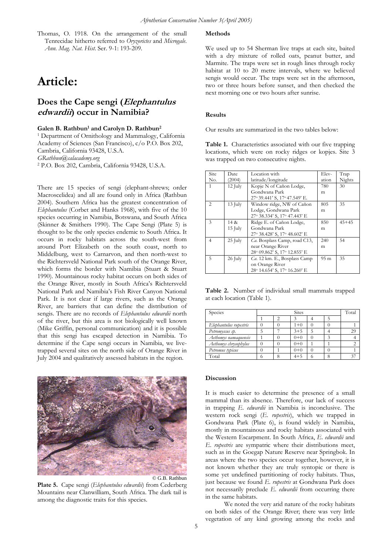Thomas, O. 1918. On the arrangement of the small Tenrecidae hitherto referred to *Oryzorictes* and *Microgale*. *Ann. Mag. Nat. Hist*. Ser. 9-1: 193-209.

# **Article:**

### **Does the Cape sengi (Elephantulus edwardii) occur in Namibia?**

### Galen B. Rathbun<sup>1</sup> and Carolyn D. Rathbun<sup>2</sup>

1 Department of Ornithology and Mammalogy, California Academy of Sciences (San Francisco), c/o P.O. Box 202, Cambria, California 93428, U.S.A. *GRathbun@calacademy.org* 2 P.O. Box 202, Cambria, California 93428, U.S.A.

There are 15 species of sengi (elephant-shrews; order Macroscelidea) and all are found only in Africa (Rathbun 2004). Southern Africa has the greatest concentration of *Elephantulus* (Corbet and Hanks 1968), with five of the 10 species occurring in Namibia, Botswana, and South Africa (Skinner & Smithers 1990). The Cape Sengi (Plate 5) is thought to be the only species endemic to South Africa. It occurs in rocky habitats across the south-west from around Port Elizabeth on the south coast, north to Middelburg, west to Carnarvon, and then north-west to the Richtersveld National Park south of the Orange River, which forms the border with Namibia (Stuart & Stuart 1990). Mountainous rocky habitat occurs on both sides of the Orange River, mostly in South Africa's Richtersveld National Park and Namibia's Fish River Canyon National Park. It is not clear if large rivers, such as the Orange River, are barriers that can define the distribution of sengis. There are no records of *Elephantulus edwardii* north of the river, but this area is not biologically well known (Mike Griffin, personal communication) and it is possible that this sengi has escaped detection in Namibia. To determine if the Cape sengi occurs in Namibia, we livetrapped several sites on the north side of Orange River in July 2004 and qualitatively assessed habitats in the region.



**Plate 5.** Cape sengi (*Elephantulus edwardii*) from Cederberg Mountains near Clanwilliam, South Africa. The dark tail is among the diagnostic traits for this species.

### **Methods**

We used up to 54 Sherman live traps at each site, baited with a dry mixture of rolled oats, peanut butter, and Marmite. The traps were set in rough lines through rocky habitat at 10 to 20 metre intervals, where we believed sengis would occur. The traps were set in the afternoon, two or three hours before sunset, and then checked the next morning one or two hours after sunrise.

#### **Results**

Our results are summarized in the two tables below:

**Table 1.** Characteristics associated with our five trapping locations, which were on rocky ridges or kopjes. Site 3 was trapped on two consecutive nights.

| Site           | Date      | Location with                 | Elev-           | Trap      |
|----------------|-----------|-------------------------------|-----------------|-----------|
| No.            | (2004)    | latitude/longitude            | ation           | Nights    |
| 1              | $12$ July | Kopje N of Cañon Lodge,       | 780             | 30        |
|                |           | Gondwana Park                 | m               |           |
|                |           | 27° 39.441' S, 17° 47.549' E. |                 |           |
| 2              | $13$ July | Window ridge, NW of Cañon     | 805             | 35        |
|                |           | Lodge, Gondwana Park          | m               |           |
|                |           | 27° 38.334' S, 17° 47.443' E  |                 |           |
| 3              | 14 &      | Ridge E. of Cañon Lodge,      | 850             | $45 + 45$ |
|                | $15$ July | Gondwana Park                 | m               |           |
|                |           | 27° 38.428' S, 17° 48.602' E  |                 |           |
| $\overline{4}$ | 25 July   | Ca. Bosplass Camp, road C13,  | 240             | 54        |
|                |           | near Orange River             | m               |           |
|                |           | 28° 09.862' S, 17° 12.855' E  |                 |           |
| 5              | $26$ July | Ca. 12 km. E., Bosplass Camp  | 95 <sub>m</sub> | 35        |
|                |           | on Orange River               |                 |           |
|                |           | 28° 14.654' S, 17° 16.260' E  |                 |           |

**Table 2.** Number of individual small mammals trapped at each location (Table 1).

| Species                | <b>Sites</b> |  |         |  | Total |    |
|------------------------|--------------|--|---------|--|-------|----|
|                        |              |  |         |  |       |    |
| Elephantulus rupestris |              |  | $1+0$   |  |       |    |
| Petromyscus sp.        |              |  | $3 + 5$ |  |       | 29 |
| Aethomys namaquensis   |              |  | $0+0$   |  |       |    |
| Aethomys chrysophylus  |              |  | $0+0$   |  |       |    |
| Petromus typicus       |              |  | $0+0$   |  |       |    |
| Total                  |              |  | $4 + 5$ |  |       |    |

#### **Discussion**

It is much easier to determine the presence of a small mammal than its absence. Therefore, our lack of success in trapping *E*. *edwardii* in Namibia is inconclusive. The western rock sengi (*E*. *rupestris*), which we trapped in Gondwana Park (Plate 6), is found widely in Namibia, mostly in mountainous and rocky habitats associated with the Western Escarpment. In South Africa, *E*. *edwardii* and *E*. *rupestris* are sympatric where their distributions meet, such as in the Goegap Nature Reserve near Springbok. In areas where the two species occur together, however, it is not known whether they are truly syntopic or there is some yet undefined partitioning of rocky habitats. Thus, just because we found *E*. *rupestris* at Gondwana Park does not necessarily preclude *E*. *edwardii* from occurring there in the same habitats.

We noted the very arid nature of the rocky habitats on both sides of the Orange River; there was very little vegetation of any kind growing among the rocks and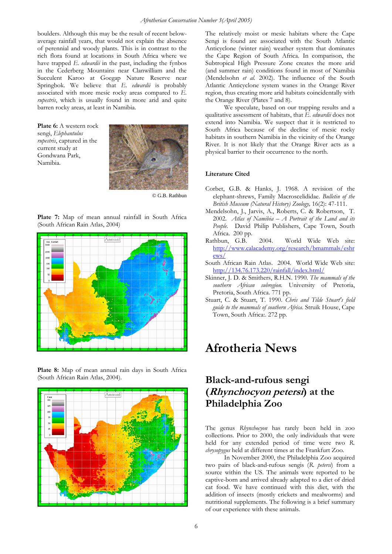boulders. Although this may be the result of recent belowaverage rainfall years, that would not explain the absence of perennial and woody plants. This is in contrast to the rich flora found at locations in South Africa where we have trapped *E*. *edwardii* in the past, including the fynbos in the Cederberg Mountains near Clanwilliam and the Succulent Karoo at Goegap Nature Reserve near Springbok. We believe that *E*. *edwardii* is probably associated with more mesic rocky areas compared to *E*. *rupestris*, which is usually found in more arid and quite barren rocky areas, at least in Namibia.

**Plate 6:** A western rock sengi, *Elephantulus rupestris*, captured in the current study at Gondwana Park, Namibia.



© G.B. Rathbun

**Plate 7:** Map of mean annual rainfall in South Africa (South African Rain Atlas, 2004)



**Plate 8:** Map of mean annual rain days in South Africa (South African Rain Atlas, 2004).



The relatively moist or mesic habitats where the Cape Sengi is found are associated with the South Atlantic Anticyclone (winter rain) weather system that dominates the Cape Region of South Africa. In comparison, the Subtropical High Pressure Zone creates the more arid (and summer rain) conditions found in most of Namibia (Mendelsohn *et al.* 2002). The influence of the South Atlantic Anticyclone system wanes in the Orange River region, thus creating more arid habitats coincidentally with the Orange River (Plates 7 and 8).

 We speculate, based on our trapping results and a qualitative assessment of habitats, that *E*. *edwardii* does not extend into Namibia. We suspect that it is restricted to South Africa because of the decline of mesic rocky habitats in southern Namibia in the vicinity of the Orange River. It is not likely that the Orange River acts as a physical barrier to their occurrence to the north.

### **Literature Cited**

- Corbet, G.B. & Hanks, J. 1968. A revision of the elephant-shrews, Family Macroscelididae. *Bulletin of the British Museum (Natural History) Zoology,* 16(2): 47-111.
- Mendelsohn, J., Jarvis, A., Roberts, C. & Robertson, T. 2002. *Atlas of Namibia – A Portrait of the Land and its People.* David Philip Publishers, Cape Town, South Africa. 200 pp.
- Rathbun, G.B. 2004. World Wide Web site: [http://www.calacademy.org/research/bmammals/eshr](http://www.calacademy.org/research/bmammals/eshrews/) [ews/](http://www.calacademy.org/research/bmammals/eshrews/)
- South African Rain Atlas. 2004. World Wide Web site: <http://134.76.173.220/rainfall/index.html/>
- Skinner, J. D. & Smithers, R.H.N. 1990. *The mammals of the southern African subregion.* University of Pretoria, Pretoria, South Africa. 771 pp.
- Stuart, C. & Stuart, T. 1990. *Chris and Tilde Stuart's field guide to the mammals of southern Africa.* Struik House, Cape Town, South Africa:. 272 pp.

## **Afrotheria News**

## **Black-and-rufous sengi (Rhynchocyon petersi) at the Philadelphia Zoo**

The genus *Rhynchocyon* has rarely been held in zoo collections. Prior to 2000, the only individuals that were held for any extended period of time were two *R. chrysopygus* held at different times at the Frankfurt Zoo.

In November 2000, the Philadelphia Zoo acquired two pairs of black-and-rufous sengis (*R. petersi*) from a source within the US. The animals were reported to be captive-born and arrived already adapted to a diet of dried cat food. We have continued with this diet, with the addition of insects (mostly crickets and mealworms) and nutritional supplements. The following is a brief summary of our experience with these animals.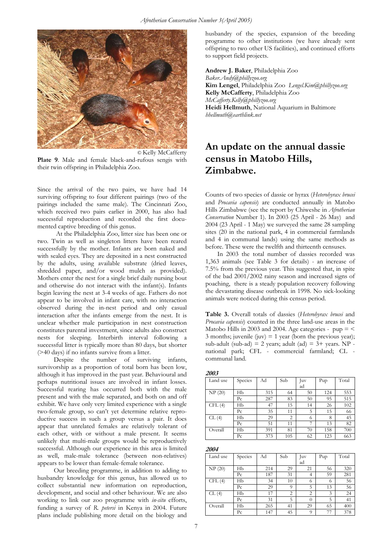

**Plate 9**. Male and female black-and-rufous sengis with their twin offspring in Philadelphia Zoo.

Since the arrival of the two pairs, we have had 14 surviving offspring to four different pairings (two of the pairings included the same male). The Cincinnati Zoo, which received two pairs earlier in 2000, has also had successful reproduction and recorded the first documented captive breeding of this genus.

At the Philadelphia Zoo, litter size has been one or two. Twin as well as singleton litters have been reared successfully by the mother. Infants are born naked and with sealed eyes. They are deposited in a nest constructed by the adults, using available substrate (dried leaves, shredded paper, and/or wood mulch as provided). Mothers enter the nest for a single brief daily nursing bout and otherwise do not interact with the infant(s). Infants begin leaving the nest at 3-4 weeks of age. Fathers do not appear to be involved in infant care, with no interaction observed during the in-nest period and only casual interaction after the infants emerge from the nest. It is unclear whether male participation in nest construction constitutes parental investment, since adults also construct nests for sleeping. Interbirth interval following a successful litter is typically more than 80 days, but shorter (>40 days) if no infants survive from a litter.

 Despite the number of surviving infants, survivorship as a proportion of total born has been low, although it has improved in the past year. Behavioural and perhaps nutritional issues are involved in infant losses. Successful rearing has occurred both with the male present and with the male separated, and both on and off exhibit. We have only very limited experience with a single two-female group, so can't yet determine relative reproductive success in such a group versus a pair. It does appear that unrelated females are relatively tolerant of each other, with or without a male present. It seems unlikely that multi-male groups would be reproductively successful. Although our experience in this area is limited as well, male-male tolerance (between non-relatives) appears to be lower than female-female tolerance.

 Our breeding programme, in addition to adding to husbandry knowledge for this genus, has allowed us to collect substantial new information on reproduction, development, and social and other behaviour. We are also working to link our zoo programme with *in-situ* efforts, funding a survey of *R. petersi* in Kenya in 2004. Future plans include publishing more detail on the biology and

husbandry of the species, expansion of the breeding programme to other institutions (we have already sent offspring to two other US facilities), and continued efforts to support field projects.

**Andrew J. Baker**, Philadelphia Zoo *Baker.Andy@phillyzoo.org*  **Kim Lengel**, Philadelphia Zoo *Lengel.Kim@phillyzoo.org* **Kelly McCafferty**, Philadelphia Zoo *McCafferty.Kelly@phillyzoo.org* **Heidi Hellmuth**, National Aquarium in Baltimore *hhellmuth@earthlink.net*

## © Kelly McCafferty **An update on the annual dassie census in Matobo Hills, Zimbabwe.**

Counts of two species of dassie or hyrax (*Heterohyrax brucei* and *Procavia capensis*) are conducted annually in Matobo Hills Zimbabwe (see the report by Chiweshe in *Afrotherian Conservation* Number 1). In 2003 (25 April - 26 May) and 2004 (23 April - 1 May) we surveyed the same 28 sampling sites (20 in the national park, 4 in commercial farmlands and 4 in communal lands) using the same methods as before. These were the twelfth and thirteenth censuses.

In 2003 the total number of dassies recorded was 1,363 animals (see Table 3 for details) - an increase of 7.5% from the previous year. This suggested that, in spite of the bad 2001/2002 rainy season and increased signs of poaching, there is a steady population recovery following the devastating disease outbreak in 1998. No sick-looking animals were noticed during this census period.

**Table 3.** Overall totals of dassies (*Heterohyrax brucei* and *Procavia capensis*) counted in the three land-use areas in the Matobo Hills in 2003 and 2004. Age categories -  $pup =$  < 3 months; juvenile (juv)  $= 1$  year (born the previous year); sub-adult (sub-ad) = 2 years; adult (ad) =  $3+$  years. NP national park; CFL - commercial farmland; CL communal land.

**2003**  Land use Species Ad Sub Juv ad Pup Total NP (20) Hb 315 64 50 124 553 Pc 287 83 50 95 515 CFL (4) Hb 47 15 14 26 102 Pc | 35 | 11 | 5 | 15 | 66  $CL(4)$  | Hb | 29 | 2 | 6 | 8 | 45 Pc | 51 | 11 | 7 | 13 | 82 Overall Hb 391 81 70 158 700 Pc 373 105 62 123 663

**2004** 

| Land use | Species        | Ad  | Sub | Juv      | Pup | Total |
|----------|----------------|-----|-----|----------|-----|-------|
|          |                |     |     | ad       |     |       |
| NP(20)   | Нb             | 214 | 29  | 21       | 56  | 320   |
|          | Pc             | 187 | 31  | 4        | 59  | 281   |
| CFL(4)   | Нb             | 34  | 10  | 6        | 6   | 56    |
|          | Pc             | 29  | 9   | 5        | 13  | 56    |
| CL(4)    | Нb             | 17  | 2   | 2        | 3   | 24    |
|          | Pc             | 31  | 5   | $\theta$ | 5   | 41    |
| Overall  | Нb             | 265 | 41  | 29       | 65  | 400   |
|          | P <sub>c</sub> | 147 | 45  | 9        | 77  | 378   |

7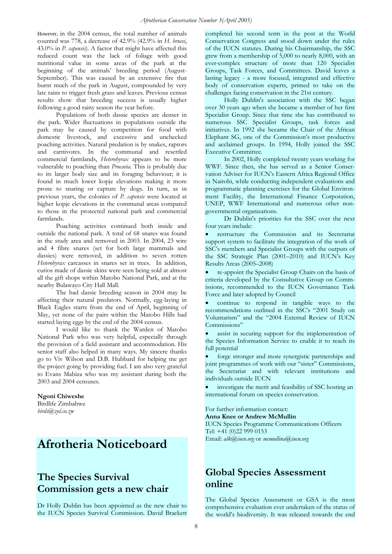However, in the 2004 census, the total number of animals counted was 778, a decrease of 42.9% (42.9% in *H. brucei*, 43.0% in *P. capensis*). A factor that might have affected this reduced count was the lack of foliage with good nutritional value in some areas of the park at the beginning of the animals' breeding period (August-September). This was caused by an extensive fire that burnt much of the park in August, compounded by very late rains to trigger fresh grass and leaves. Previous census results show that breeding success is usually higher following a good rainy season the year before.

Populations of both dassie species are denser in the park. Wider fluctuations in populations outside the park may be caused by competition for food with domestic livestock, and excessive and unchecked poaching activities. Natural predation is by snakes, raptors and carnivores. In the communal and resettled commercial farmlands, *Heterohyrax* appears to be more vulnerable to poaching than *Procavia*. This is probably due to its larger body size and its foraging behaviour; it is found in much lower kopje elevations making it more prone to snaring or capture by dogs. In turn, as in previous years, the colonies of *P. capensis* were located at higher kopje elevations in the communal areas compared to those in the protected national park and commercial farmlands.

Poaching activities continued both inside and outside the national park. A total of 68 snares was found in the study area and removed in 2003. In 2004, 23 wire and 4 fibre snares (set for both large mammals and dassies) were removed, in addition to seven rotten *Heterohyrax* carcasses in snares set in trees. In addition, curios made of dassie skins were seen being sold at almost all the gift shops within Matobo National Park, and at the nearby Bulawayo City Hall Mall.

The bad dassie breeding season in 2004 may be affecting their natural predators. Normally, egg-laying in Black Eagles starts from the end of April, beginning of May, yet none of the pairs within the Matobo Hills had started laying eggs by the end of the 2004 census.

I would like to thank the Warden of Matobo National Park who was very helpful, especially through the provision of a field assistant and accommodation. His senior staff also helped in many ways. My sincere thanks go to Viv Wilson and D.B. Hubbard for helping me get the project going by providing fuel. I am also very grateful to Evans Mabiza who was my assistant during both the 2003 and 2004 censuses.

**Ngoni Chiweshe**  Birdlife Zimbabwe *[birds@zol.co.zw](mailto:birds@zol.co.zw)*

## **Afrotheria Noticeboard**

## **The Species Survival Commission gets a new chair**

Dr Holly Dublin has been appointed as the new chair to the IUCN Species Survival Commission. David Brackett

completed his second term in the post at the World Conservation Congress and stood down under the rules of the IUCN statutes. During his Chairmanship, the SSC grew from a membership of 5,000 to nearly 8,000, with an ever-complex structure of more than 120 [Specialist](http://www.iucn.org/themes/ssc/sgs/sgs.htm)  [Groups,](http://www.iucn.org/themes/ssc/sgs/sgs.htm) Task Forces, and Committees. David leaves a lasting legacy - a more focused, integrated and effective body of conservation experts, primed to take on the challenges facing conservation in the 21st century.

Holly Dublin's association with the SSC began over 30 years ago when she became a member of her first Specialist Group. Since that time she has contributed to numerous SSC Specialist Groups, task forces and initiatives. In 1992 she became the Chair of the African Elephant SG, one of the Commission's most productive and acclaimed groups. In 1994, Holly joined the SSC Executive Committee.

In 2002, Holly completed twenty years working for WWF. Since then, she has served as a Senior Conservation Adviser for IUCN's Eastern Africa Regional Office in Nairobi, while conducting independent evaluations and programmatic planning exercises for the Global Environment Facility, the International Finance Corporation, UNEP, WWF International and numerous other nongovernmental organizations.

Dr Dublin's priorities for the SSC over the next four years include:

• restructure the Commission and its Secretariat support system to facilitate the integration of the work of SSC's members and Specialist Groups with the outputs of the SSC Strategic Plan (2001–2010) and IUCN's Key Results Areas (2005–2008)

• re-appoint the Specialist Group Chairs on the basis of criteria developed by the Consultative Group on Commissions, recommended to the IUCN Governance Task Force and later adopted by Council

• continue to respond in tangible ways to the recommendations outlined in the SSC's "2001 Study on Voluntarism" and the "2004 External Review of IUCN Commissions"

assist in securing support for the implementation of the Species Information Service to enable it to reach its full potential

forge stronger and more synergistic partnerships and joint programmes of work with our "sister" Commissions, the Secretariat and with relevant institutions and individuals outside IUCN

investigate the merit and feasibility of SSC hosting an international forum on species conservation.

For further information contact: **Anna Knee or Andrew McMullin** 

IUCN Species Programme Communications Officers Tel: +41 (0)22 999 0153 Email: *[alk@iucn.org](mailto:alk@iucn.org)* or *[mcmullina@iucn.org](mailto:mcmullina@iucn.org)*

## **Global Species Assessment online**

The Global Species Assessment or GSA is the most comprehensive evaluation ever undertaken of the status of the world's biodiversity. It was released towards the end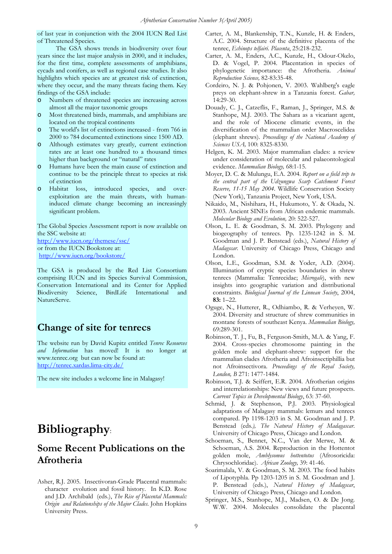of last year in conjunction with the 2004 IUCN Red List of Threatened Species.

The GSA shows trends in biodiversity over four years since the last major analysis in 2000, and it includes, for the first time, complete assessments of amphibians, cycads and conifers, as well as regional case studies. It also highlights which species are at greatest risk of extinction, where they occur, and the many threats facing them. Key findings of the GSA include:

- o Numbers of threatened species are increasing across almost all the major taxonomic groups
- o Most threatened birds, mammals, and amphibians are located on the tropical continents
- o The world's list of extinctions increased from 766 in 2000 to 784 documented extinctions since 1500 AD.
- o Although estimates vary greatly, current extinction rates are at least one hundred to a thousand times higher than background or "natural" rates
- o Humans have been the main cause of extinction and continue to be the principle threat to species at risk of extinction
- o Habitat loss, introduced species, and overexploitation are the main threats, with humaninduced climate change becoming an increasingly significant problem.

The Global Species Assessment report is now available on the SSC website at:

[http://www.iucn.org/themese/ssc/](http://www.iucn.org/bookstore/) or from the IUCN Bookstore at: <http://www.iucn.org/bookstore/>

The GSA is produced by the Red List Consortium comprising IUCN and its Species Survival Commission, Conservation International and its Center for Applied Biodiversity Science, BirdLife International and NatureServe.

### **Change of site for tenrecs**

The website run by David Kupitz entitled *Tenrec Resources and Information* has moved! It is no longer at www.tenrec.org but can now be found at: http://tenrec.xardas.lima-city.de/

The new site includes a welcome line in Malagasy!

# **Bibliography**:

### **Some Recent Publications on the Afrotheria**

Asher, R.J. 2005. Insectivoran-Grade Placental mammals: character evolution and fossil history. In K.D. Rose and J.D. Archibald (eds.), *The Rise of Placental Mammals: Origin and Relationships of the Major Clades*. John Hopkins University Press.

- Carter, A. M., Blankenship, T.N., Kunzle, H. & Enders, A.C. 2004. Structure of the definitive placenta of the tenrec, *Echinops telfairi*. *Placenta*, 25:218-232.
- Carter, A. M., Enders, A.C., Kunzle, H., Odour-Okelo, D. & Vogel, P. 2004. Placentation in species of phylogenetic importance: the Afrotheria. *Animal Reproduction Science,* 82-83:35-48.
- Cordeiro, N. J. & Pohjonen, V. 2003. Wahlberg's eagle preys on elephant-shrew in a Tanzania forest. *Gabar,* 14:29-30.
- Douady, C. J., Catzeflis, F., Raman, J., Springer, M.S. & Stanhope, M.J. 2003. The Sahara as a vicariant agent, and the role of Miocene climatic events, in the diversification of the mammalian order Macroscelidea (elephant shrews). *Proceedings of the National Academy of Sciences USA,* 100: 8325-8330.
- Helgen, K. M. 2003. Major mammalian clades: a review under consideration of molecular and palaeontological evidence. *Mammalian Biology,* 68:1-15.
- Moyer, D. C. & Mulungu, E.A. 2004. *Report on a field trip to the central part of the Udzungwa Scarp Catchment Forest Reserve, 11-15 May 2004.* Wildlife Conservation Society (New York), Tanzania Project, New York, USA.
- Nikaido, M., Nishihara, H., Hukumoto, Y. & Okada, N. 2003. Ancient SINEs from African endemic mammals. *Molecular Biology and Evolution,* 20: 522-527.
- Olson, L. E. & Goodman, S. M. 2003. Phylogeny and biogeography of tenrecs. Pp. 1235-1242 in S. M. Goodman and J. P. Benstead (eds.), *Natural History of Madagscar*. University of Chicago Press, Chicago and London.
- Olson, L.E., Goodman, S.M. & Yoder, A.D. (2004). Illumination of cryptic species boundaries in shrew tenrecs (Mammalia: Tenrecidae; *Microgale*), with new insights into geographic variation and distributional constraints. *Biological Journal of the Linnean Society*, 2004, **83:** 1–22.
- Oguge, N., Hutterer, R., Odhiambo, R. & Verheyen, W. 2004. Diversity and structure of shrew communities in montane forests of southeast Kenya. *Mammalian Biology,*  69:289-301.
- Robinson, T. J., Fu, B., Ferguson-Smith, M.A. & Yang, F. 2004. Cross-species chromosome painting in the golden mole and elephant-shrew: support for the mammalian clades Afrotheria and Afroinsectiphillia but not Afroinsectivora. *Proceedings of the Royal Society, London, B* 271: 1477-1484.
- Robinson, T.J. & Seiffert, E.R. 2004. Afrotherian origins and interrelationships: New views and future prospects. *Current Topics in Developmental Biology*, 63: 37-60.
- Schmid, J. & Stephenson, P.J. 2003. Physiological adaptations of Malagasy mammals: lemurs and tenrecs compared. Pp 1198-1203 in S. M. Goodman and J. P. Benstead (eds*.), The Natural History of Madagascar*. University of Chicago Press, Chicago and London.
- Schoeman, S., Bennet, N.C., Van der Merwe, M. & Schoeman, A.S. 2004. Reproduction in the Hottentot golden mole, *Amblysomus hottentotus* (Afrosoricida: Chrysochloridae). *African Zoology,* 39: 41-46.
- Soarimalala, V. & Goodman, S. M. 2003. The food habits of Lipotyphla. Pp 1203-1205 in S. M. Goodman and J. P. Benstead (eds.), *Natural History of Madagscar*, University of Chicago Press, Chicago and London.
- Springer, M.S., Stanhope, M.J., Madsen, O. & De Jong. W.W. 2004. Molecules consolidate the placental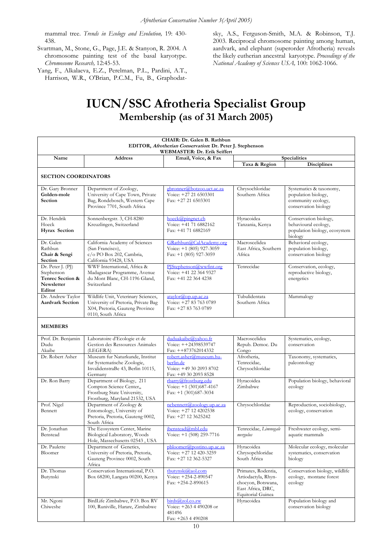mammal tree. *Trends in Ecology and Evolution,* 19: 430- 438.

- Svartman, M., Stone, G., Page, J.E. & Stanyon, R. 2004. A chromosome painting test of the basal karyotype. *Chromosome Research,* 12:45-53.
- Yang, F., Alkalaeva, E.Z., Perelman, P.L., Pardini, A.T., Harrison, W.R., O'Brian, P.C.M., Fu, B., Graphodat-

sky, A.S., Ferguson-Smith, M.A. & Robinson, T.J. 2003. Reciprocal chromosome painting among human, aardvark, and elephant (superorder Afrotheria) reveals the likely eutherian ancestral karyotype. *Proceedings of the National Academy of Sciences USA,* 100: 1062-1066.

# **IUCN/SSC Afrotheria Specialist Group Membership (as of 31 March 2005)**

| CHAIR: Dr. Galen B. Rathbun<br>EDITOR, Afrotherian Conservation: Dr. Peter J. Stephenson      |                                                                                                                                     |                                                                                          |                                                                                                                   |                                                                                              |  |  |  |
|-----------------------------------------------------------------------------------------------|-------------------------------------------------------------------------------------------------------------------------------------|------------------------------------------------------------------------------------------|-------------------------------------------------------------------------------------------------------------------|----------------------------------------------------------------------------------------------|--|--|--|
| WEBMASTER: Dr. Erik Seiffert<br>Email, Voice, & Fax<br>Name<br><b>Address</b><br>Specialities |                                                                                                                                     |                                                                                          |                                                                                                                   |                                                                                              |  |  |  |
|                                                                                               |                                                                                                                                     |                                                                                          | Taxa & Region                                                                                                     | <b>Disciplines</b>                                                                           |  |  |  |
| <b>SECTION COORDINATORS</b>                                                                   |                                                                                                                                     |                                                                                          |                                                                                                                   |                                                                                              |  |  |  |
| Dr. Gary Bronner<br>Golden-mole<br>Section                                                    | Department of Zoology,<br>University of Cape Town, Private<br>Bag, Rondebosch, Western Cape<br>Province 7701, South Africa          | gbronner@botzoo.uct.ac.za<br>Voice: +27 21 6503301<br>Fax: +27 21 6503301                | Chrysochloridae<br>Southern Africa                                                                                | Systematics & taxonomy,<br>population biology,<br>community ecology,<br>conservation biology |  |  |  |
| Dr. Hendrik<br>Hoeck<br>Hyrax Section                                                         | Sonnenbergstr. 3, CH-8280<br>Kreuzlingen, Switzerland                                                                               | hoeck@pinger.ch<br>Voice: +41 71 6882162<br>Fax: +41 71 6882169                          | Hyracoidea<br>Tanzania, Kenya                                                                                     | Conservation biology,<br>behavioural ecology,<br>population biology, ecosystem<br>biology    |  |  |  |
| Dr. Galen<br>Rathbun<br>Chair & Sengi<br>Section                                              | California Academy of Sciences<br>(San Francisco),<br>c/o PO Box 202, Cambria,<br>California 93428, USA                             | GRathbun@CalAcademy.org<br>Voice: $+1$ (805) 927-3059<br>Fax: $+1$ (805) 927-3059        | Macroscelidea<br>East Africa, Southern<br>Africa                                                                  | Behavioral ecology,<br>population biology,<br>conservation biology                           |  |  |  |
| Dr. Peter J. (PJ)<br>Stephenson<br>Tenrec Section &<br>Newsletter<br>Editor                   | WWF International, Africa &<br>Madagascar Programme, Avenue<br>du Mont Blanc, CH-1196 Gland,<br>Switzerland                         | PJStephenson@wwfint.org<br>Voice: +41 22 364 9327<br>Fax: +41 22 364 4238                | Tenrecidae                                                                                                        | Conservation, ecology,<br>reproductive biology,<br>energetics                                |  |  |  |
| Dr. Andrew Taylor<br><b>Aardvark Section</b>                                                  | Wildlife Unit, Veterinary Sciences,<br>University of Pretoria, Private Bag<br>X04, Pretoria, Gauteng Province<br>0110, South Africa | ataylor@op.up.ac.za<br>Voice: +27 83 763 0789<br>Fax: +27 83 763 0789                    | Tubulidentata<br>Southern Africa                                                                                  | Mammalogy                                                                                    |  |  |  |
| <b>MEMBERS</b>                                                                                |                                                                                                                                     |                                                                                          |                                                                                                                   |                                                                                              |  |  |  |
| Prof. Dr. Benjamin<br>Dudu<br>Akaibe                                                          | Laboratoire d'Ecologie et de<br>Gestion des Ressources Animales<br>(LEGERA)                                                         | duduakaibe@vahoo.fr<br>Voice: ++24398539747<br>$Fax: ++873762014332$                     | Macroscelidea<br>Repub. Democ. Du<br>Congo                                                                        | Systematics, ecology,<br>conservation                                                        |  |  |  |
| Dr. Robert Asher                                                                              | Museum fur Naturkunde, Institut<br>fur Systematische Zoologie,<br>InvalidenstraBe 43, Berlin 10115,<br>Germany                      | robert.asher@museum.hu-<br>berlin.de<br>Voice: +49 30 2093 8702<br>Fax: +49 30 2093 8528 | Afrotheria,<br>Tenrecidae,<br>Chrysochloridae                                                                     | Taxonomy, systematics,<br>paleontology                                                       |  |  |  |
| Dr. Ron Barry                                                                                 | Department of Biology, 211<br>Compton Science Center,,<br>Frostburg State University,<br>Frostburg, Maryland 21532, USA             | rbarry@frostburg.edu<br>Voice: +1 (301)687-4167<br>Fax: $+1$ (301)687-3034               | Hyracoidea<br>Zimbabwe                                                                                            | Population biology, behavioral<br>ecology                                                    |  |  |  |
| Prof. Nigel<br>Bennett                                                                        | Department of Zoology &<br>Entomology, University of<br>Pretoria, Pretoria, Gauteng 0002,<br>South Africa                           | ncbennett@zoology.up.ac.za<br>Voice: +27 12 4202538<br>Fax: +27 12 3625242               | Chrysochloridae                                                                                                   | Reproduction, sociobiology,<br>ecology, conservation                                         |  |  |  |
| Dr. Jonathan<br>Benstead                                                                      | The Ecosystem Center, Marine<br>Biological Laboratory, Woods<br>Hole, Massechusetts 02543, USA                                      | ibenstead@mbl.edu<br>Voice: +1 (508) 259-7716                                            | Tenrecidae, Limnogale<br>mergulus                                                                                 | Freshwater ecology, semi-<br>aquatic mammals                                                 |  |  |  |
| Dr. Paulette<br>Bloomer                                                                       | Department of Genetics,<br>University of Pretoria, Pretoria,<br>Gauteng Province 0002, South<br>Africa                              | pbloomer@postino.up.ac.za<br>Voice: +27 12 420-3259<br>Fax: +27 12 362-5327              | Hyracoidea<br>Chrysopchloridae<br>South Africa                                                                    | Molecular ecology, molecular<br>systematics, conservation<br>biology                         |  |  |  |
| Dr. Thomas<br>Butynski                                                                        | Conservation International, P.O.<br>Box 68200, Langata 00200, Kenya                                                                 | tbutynski@aol.com<br>Voice: +254-2-890547<br>Fax: $+254-2-890615$                        | Primates, Rodentia,<br>Artiodactyla, Rhyn-<br>chocyon, Botswana,<br>East Africa, DRC,<br><b>Equitorial Guinea</b> | Conservation biology, wildlife<br>ecology, montane forest<br>ecology                         |  |  |  |
| Mr. Ngoni<br>Chiweshe                                                                         | BirdLife Zimbabwe, P.O. Box RV<br>100, Runiville, Harare, Zimbabwe                                                                  | birds@zol.co.zw<br>Voice: +263 4 490208 or<br>481496<br>Fax: $+263$ 4 490208             | Hyracoidea                                                                                                        | Population biology and<br>conservation biology                                               |  |  |  |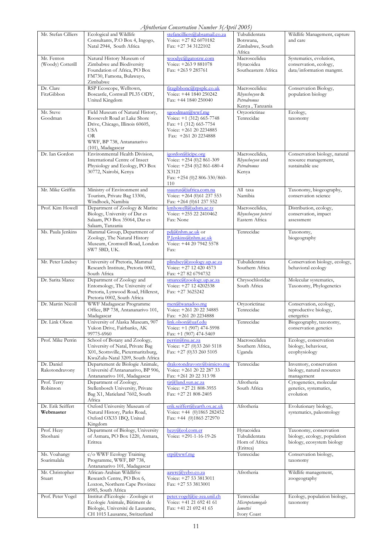| Afrotherian Conservation Number 3 (April 2005) |  |  |  |
|------------------------------------------------|--|--|--|
|                                                |  |  |  |

|                                 |                                                                                                                                                                                  | Afrotherian Conservation INumber 3(April 2005)                                                                             |                                                                   |                                                                                      |
|---------------------------------|----------------------------------------------------------------------------------------------------------------------------------------------------------------------------------|----------------------------------------------------------------------------------------------------------------------------|-------------------------------------------------------------------|--------------------------------------------------------------------------------------|
| Mr. Stefan Cilliers             | Ecological and Wildlife<br>Consultants, P.O Box 4, Ingogo,<br>Natal 2944, South Africa                                                                                           | stefancilliers@absamail.co.za<br>Voice: +27 82 6070182<br>Fax: +27 34 3122102                                              | Tubulidentata<br>Botswana,<br>Zimbabwe, South<br>Africa           | Wildlife Management, capture<br>and care                                             |
| Mr. Fenton<br>(Woody) Cotterill | Natural History Museum of<br>Zimbabwe and Biodiversity<br>Foundation of Africa, PO Box<br>FM730, Famona, Bulawayo,<br>Zimbabwe                                                   | woodyc@gatorzw.com<br>Voice: +263 9 881078<br>Fax: +263 9 285761                                                           | Macroscelidea<br>Hyracoidea<br>Southeastern Africa                | Systematics, evolution,<br>conservation, ecology,<br>data/information mangmt.        |
| Dr. Clare<br>FitzGibbon         | RSP Ecoscope, Welltown,<br>Boscastle, Cornwall PL35 ODY,<br>United Kingdom                                                                                                       | fitzgibbonc@rpsplc.co.uk<br>Voice: +44 1840 250242<br>Fax: $+44$ 1840 250040                                               | Macroscelidea:<br>Rhynchocyon &<br>Petrodromus<br>Kenya, Tanzania | Conservation Biology,<br>population biology                                          |
| Mr. Steve<br>Goodman            | Field Museum of Natural History,<br>Roosevelt Road at Lake Shore<br>Drive, Chicago, Illinois 60605,<br><b>USA</b><br><b>OR</b><br>WWF, BP 738, Antananarivo<br>(101), Madagascar | sgoodman@wwf.mg<br>Voice: +1 (312) 665-7748<br>Fax: $+1$ (312) 665-7754<br>Voice: +261 20 2234885<br>Fax: $+261202234888$  | Oryzorictinae<br>Tenrecidae                                       | Ecology,<br>taxonomy                                                                 |
| Dr. Ian Gordon                  | Environmental Health Division,<br>International Centre of Insect<br>Physiology and Ecology, PO Box<br>30772, Nairobi, Kenya                                                      | igordon@icipe.org<br>Voice: +254 (0)2 861-309<br>Voice: +254 (0)2 861-680-4<br>X3121<br>Fax: +254 (0)2 806-330/860-<br>110 | Macroscelidea,<br>Rhynchocyon and<br>Petrodromus<br>Kenya         | Conservation biology, natural<br>resource management,<br>sustainable use             |
| Mr. Mike Griffin                | Ministry of Environment and<br>Tourism, Private Bag 13306,<br>Windhoek, Namibia                                                                                                  | ssaurus@iafrica.com.na<br>Voice: +264 (0)61 237 553<br>Fax: +264 (0)61 237 552                                             | All taxa<br>Namibia                                               | Taxonomy, biogeography,<br>conservation science                                      |
| Prof. Kim Howell                | Department of Zoology & Marine<br>Biology, University of Dar es<br>Salaam, PO Box 35064, Dar es<br>Salaam, Tanzania                                                              | kmhowell@udsm.ac.tz<br>Voice: +255 22 2410462<br>Fax: None                                                                 | Macroscelidea,<br>Rhynchocyon petersi<br>Eastern Africa           | Distribution, ecology,<br>conservation, impact<br>assessment                         |
| Ms. Paula Jenkins               | Mammal Group, Department of<br>Zoology, The Natural History<br>Museum, Cromwell Road, London<br>SW7 5BD, UK.                                                                     | pdj@nhm.ac.uk or<br>P.Jenkins@nhm.ac.uk<br>Voice: +44 20 7942 5578<br>Fax:                                                 | Tenrecidae                                                        | Taxonomy,<br>biogeography                                                            |
| Mr. Peter Lindsey               | University of Pretoria, Mammal<br>Research Institute, Pretoria 0002,<br>South Africa                                                                                             | plindsey@zoology.up.ac.za<br>Voice: +27 12 420 4573<br>Fax: +27 82 6794732                                                 | Tubulidentata<br>Southern Africa                                  | Conservation biology, ecology,<br>behavioral ecology                                 |
| Dr. Sarita Maree                | Department of Zoology and<br>Entomology, The University of<br>Pretoria, Lynwood Road, Hillcrest,<br>Pretoria 0002, South Africa                                                  | smaree@zoology.up.ac.za<br>Voice: +27 12 4202538<br>Fax: +27 3625242                                                       | Chrysochloridae<br>South Africa                                   | Molecular systematics,<br>Taxonomy, Phylogenetics                                    |
| Dr. Martin Nicoll               | WWF Madagascar Programme<br>Office, BP 738, Antananarivo 101,<br>Madagascar                                                                                                      | men@wanadoo.mg<br>Voice: +261 20 22 34885<br>Fax: +261 20 2234888                                                          | Oryzorictinae<br>Tenrecidae                                       | Conservation, ecology,<br>reproductive biology,<br>energetics                        |
| Dr. Link Olson                  | University of Alaska Museum, 907<br>Yukon Drive, Fairbanks, AK<br>99775-6960                                                                                                     | link.olson@uaf.edu<br>Voice: +1 (907) 474-5998<br>Fax: +1 (907) 474-5469                                                   | Tenrecidae                                                        | Biogeography, taxonomy,<br>conservation genetics                                     |
| Prof. Mike Perrin               | School of Botany and Zoology,<br>University of Natal, Private Bag<br>X01, Scottsville, Pietermaritzburg,<br>KwaZulu-Natal 3209, South Africa                                     | perrin@nu.ac.za<br>Voice: +27 (0)33 260 5118<br>Fax: $+27$ (0)33 260 5105                                                  | Macroscelidea<br>Southern Africa,<br>Uganda                       | Ecology, conservation<br>biology, behaviour,<br>ecophysiology                        |
| Dr. Daniel<br>Rakotondravony    | Departement de Biologie Animale,<br>Université d'Antananarivo, BP 906,<br>Antananarivo 101, Madagascar                                                                           | drakotondravony@simicro.mg<br>Voice: +261 20 22 287 33<br>Fax: +261 20 22 313 98                                           | Tenrecidae                                                        | Inventory, conservation<br>biology, natural resources<br>management                  |
| Prof. Terry<br>Robinson         | Department of Zoology,<br>Stellenbosch University, Private<br>Bag X1, Matieland 7602, South<br>Africa                                                                            | tir@land.sun.ac.za<br>Voice: +27 21 808-3955<br>Fax: $+27$ 21 808-2405                                                     | Afrotheria<br>South Africa                                        | Cytogenetics, molecular<br>genetics, systematics,<br>evolution                       |
| Dr. Erik Seiffert<br>Webmaster  | Oxford University Museum of<br>Natural History, Parks Road,<br>Oxford OX33 1BQ, United<br>Kingdom                                                                                | erik.seiffert@earth.ox.ac.uk<br>Voice: +44 (0)1865 282452<br>Fax: $+44$ (0)1865 272970                                     | Afrotheria                                                        | Evolutionary biology,<br>systematics, paleontology                                   |
| Prof. Hezy<br>Shoshani          | Department of Biology, University<br>of Asmara, PO Box 1220, Asmara,<br>Eritrea                                                                                                  | hezy@eol.com.er<br>Voice: $+291-1-16-19-26$                                                                                | Hyracoidea<br>Tubulidentata<br>Horn of Africa<br>(Eritrea)        | Taxonomy, conservation<br>biology, ecology, population<br>biology, ecosystem biology |
| Ms. Voahangy<br>Soarimalala     | c/o WWF Ecology Training<br>Programme, WWF, BP 738,<br>Antananarivo 101, Madagascar                                                                                              | etp@wwf.mg                                                                                                                 | Tenrecidae                                                        | Conservation biology,<br>taxonomy                                                    |
| Mr. Christopher<br>Stuart       | African-Arabian Wildlifve<br>Research Centre, PO Box 6,<br>Loxton, Northern Cape Province<br>6985, South Africa                                                                  | aawrc@yebo.co.za<br>Voice: +27 53 3813011<br>Fax: +27 53 3813001                                                           | Afrotheria                                                        | Wildlife management,<br>zoogeography                                                 |
| Prof. Peter Vogel               | Institut d'Ecologie - Zoologie et<br>Ecologie Animale, Bâtiment de<br>Biologie, Université de Lausanne,<br>CH 1015 Lausanne, Switzerland                                         | peter.vogel@ie-zea.unil.ch<br>Voice: +41 21 692 41 61<br>Fax: +41 21 692 41 65                                             | Tenrecidae<br>Micropotamogale<br>lamottei<br>Ivory Coast          | Ecology, population biology,<br>taxonomy                                             |